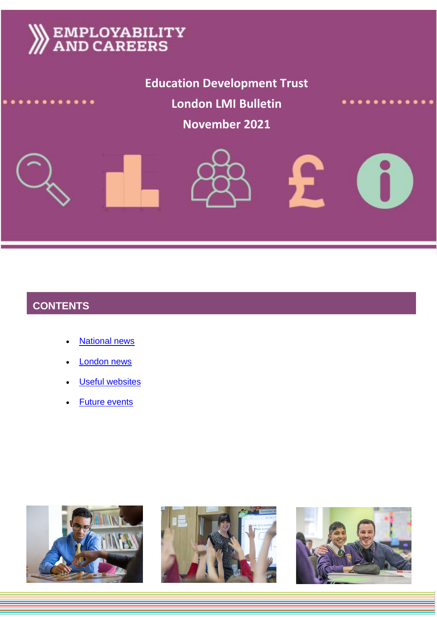# **EMPLOYABILITY**<br>AND CAREERS

**Education Development Trust Education Development Trust London LMI Bulletin November 2021**

 $\mathbf{L}$ 



# **CONTENTS**

- [National news](#page-1-0)
- [London news](#page-4-0)
- [Useful websites](#page-5-0)
- [Future events](#page-5-1)





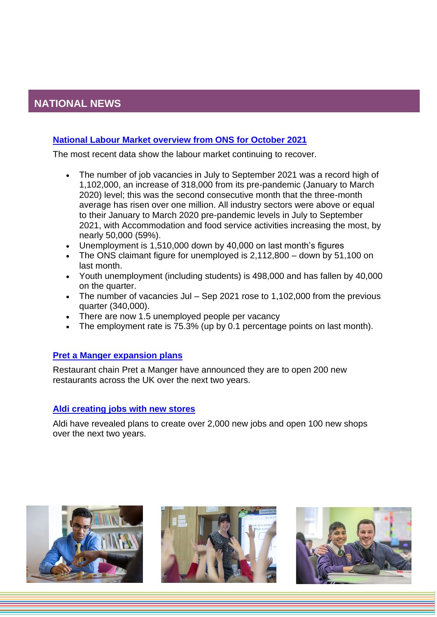## <span id="page-1-0"></span>**NATIONAL NEWS**

#### **[National Labour Market overview from ONS for October 2021](https://www.ons.gov.uk/employmentandlabourmarket/peopleinwork/employmentandemployeetypes/bulletins/uklabourmarket/october2021)**

The most recent data show the labour market continuing to recover.

- The number of job vacancies in July to September 2021 was a record high of 1,102,000, an increase of 318,000 from its pre-pandemic (January to March 2020) level; this was the second consecutive month that the three-month average has risen over one million. All industry sectors were above or equal to their January to March 2020 pre-pandemic levels in July to September 2021, with Accommodation and food service activities increasing the most, by nearly 50,000 (59%).
- Unemployment is 1,510,000 down by 40,000 on last month's figures
- The ONS claimant figure for unemployed is 2,112,800 down by 51,100 on last month.
- Youth unemployment (including students) is 498,000 and has fallen by 40,000 on the quarter.
- The number of vacancies Jul Sep 2021 rose to 1,102,000 from the previous quarter (340,000).
- There are now 1.5 unemployed people per vacancy
- The employment rate is 75.3% (up by 0.1 percentage points on last month).

#### **[Pret a Manger expansion plans](https://www.business-live.co.uk/retail-consumer/pret-manger-open-200-more-21639826)**

Restaurant chain Pret a Manger have announced they are to open 200 new restaurants across the UK over the next two years.

#### **[Aldi creating jobs with new stores](https://www.insider.co.uk/news/aldi-create-2000-new-jobs-25080768)**

Aldi have revealed plans to create over 2,000 new jobs and open 100 new shops over the next two years.





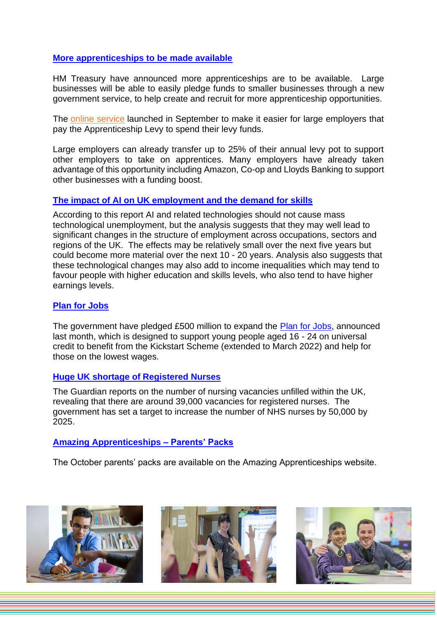#### **[More apprenticeships to be made available](https://www.wired-gov.net/wg/news.nsf/articles/DNWA-C6TLCE)**

HM Treasury have announced more apprenticeships are to be available. Large businesses will be able to easily pledge funds to smaller businesses through a new government service, to help create and recruit for more apprenticeship opportunities.

The [online service](https://www.gov.uk/guidance/transferring-your-apprenticeship-levy-to-another-business?utm_source=pressnotice130921&utm_medium=pressnotice&utm_campaign=summerreleases21) launched in September to make it easier for large employers that pay the Apprenticeship Levy to spend their levy funds.

Large employers can already transfer up to 25% of their annual levy pot to support other employers to take on apprentices. Many employers have already taken advantage of this opportunity including Amazon, Co-op and Lloyds Banking to support other businesses with a funding boost.

#### **[The impact of AI on UK employment and the demand for skills](https://assets.publishing.service.gov.uk/government/uploads/system/uploads/attachment_data/file/1023590/impact-of-ai-on-jobs.pdf)**

According to this report AI and related technologies should not cause mass technological unemployment, but the analysis suggests that they may well lead to significant changes in the structure of employment across occupations, sectors and regions of the UK. The effects may be relatively small over the next five years but could become more material over the next 10 - 20 years. Analysis also suggests that these technological changes may also add to income inequalities which may tend to favour people with higher education and skills levels, who also tend to have higher earnings levels.

#### **[Plan for Jobs](https://www.gov.uk/government/news/500-million-plan-for-jobs-expansion)**

The government have pledged £500 million to expand the [Plan for Jobs,](https://www.gov.uk/government/news/500-million-plan-for-jobs-expansion) announced last month, which is designed to support young people aged 16 - 24 on universal credit to benefit from the Kickstart Scheme (extended to March 2022) and help for those on the lowest wages.

#### **[Huge UK shortage of Registered Nurses](https://amp.theguardian.com/society/2021/oct/09/nursing-crisis-sweeps-wards-as-nhs-battles-to-find-recruits)**

The Guardian reports on the number of nursing vacancies unfilled within the UK, revealing that there are around 39,000 vacancies for registered nurses. The government has set a target to increase the number of NHS nurses by 50,000 by 2025.

#### **[Amazing Apprenticeships –](https://amazingapprenticeships.com/resource/parents-and-carers-pack-october-21/) Parents' Packs**

The October parents' packs are available on the Amazing Apprenticeships website.





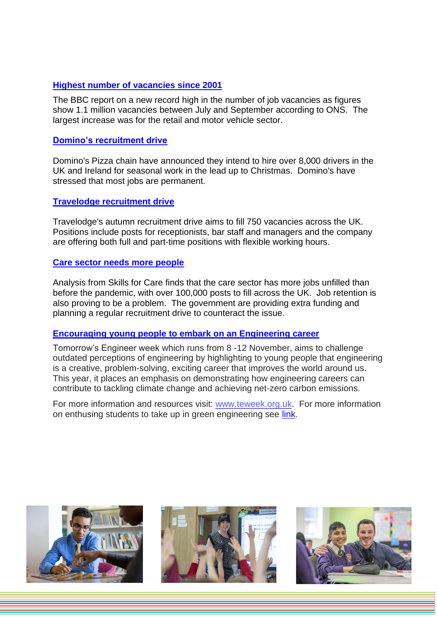#### **[Highest number of vacancies since 2001](https://www.bbc.co.uk/news/business-58881124)**

The BBC report on a new record high in the number of job vacancies as figures show 1.1 million vacancies between July and September according to ONS. The largest increase was for the retail and motor vehicle sector.

#### **[Domino's recruitment drive](https://www.bbc.co.uk/news/business-58910124)**

Domino's Pizza chain have announced they intend to hire over 8,000 drivers in the UK and Ireland for seasonal work in the lead up to Christmas. Domino's have stressed that most jobs are permanent.

#### **[Travelodge recruitment drive](https://www.plymouthherald.co.uk/news/uk-world-news/travelodge-recruiting-750-people-across-5955968)**

Travelodge's autumn recruitment drive aims to fill 750 vacancies across the UK. Positions include posts for receptionists, bar staff and managers and the company are offering both full and part-time positions with flexible working hours.

#### **[Care sector needs more people](https://www.bbc.co.uk/news/health-58884651)**

Analysis from Skills for Care finds that the care sector has more jobs unfilled than before the pandemic, with over 100,000 posts to fill across the UK. Job retention is also proving to be a problem. The government are providing extra funding and planning a regular recruitment drive to counteract the issue.

#### **[Encouraging young people to embark on an Engineering career](https://teweek.org.uk/)**

Tomorrow's Engineer week which runs from 8 -12 November, aims to challenge outdated perceptions of engineering by highlighting to young people that engineering is a creative, problem-solving, exciting career that improves the world around us. This year, it places an emphasis on demonstrating how engineering careers can contribute to tackling climate change and achieving net-zero carbon emissions.

For more information and resources visit: [www.teweek.org.uk.](http://www.teweek.org.uk/) For more information on enthusing students to take up in green engineering see [link.](https://www.tes.com/news/spark-pupil-interest-green-engineering-jobs-schools-climate-change-design-technology)





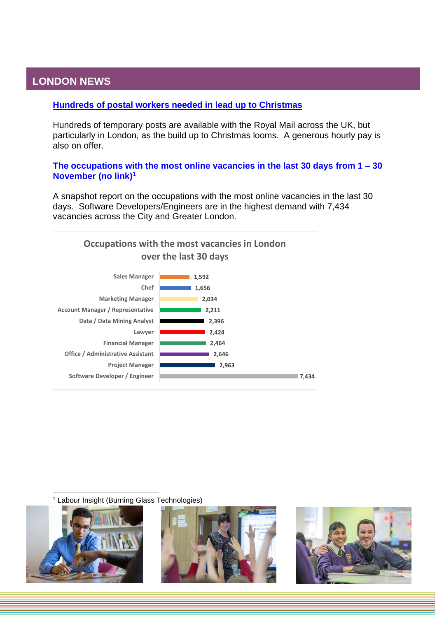### <span id="page-4-0"></span>**LONDON NEWS**

#### **[Hundreds of postal workers needed in lead up to Christmas](https://www.mylondon.news/lifestyle/hundreds-royal-mail-temporary-christmas-21791356.amp)**

Hundreds of temporary posts are available with the Royal Mail across the UK, but particularly in London, as the build up to Christmas looms. A generous hourly pay is also on offer.

**The occupations with the most online vacancies in the last 30 days from 1 – 30 November (no link)<sup>1</sup>**

A snapshot report on the occupations with the most online vacancies in the last 30 days. Software Developers/Engineers are in the highest demand with 7,434 vacancies across the City and Greater London.



<sup>1</sup> Labour Insight (Burning Glass Technologies)





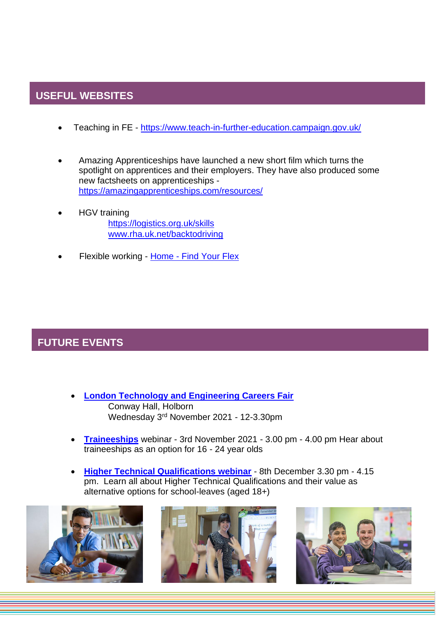# <span id="page-5-0"></span>**USEFUL WEBSITES**

- Teaching in FE <https://www.teach-in-further-education.campaign.gov.uk/>
- Amazing Apprenticeships have launched a new short film which turns the spotlight on apprentices and their employers. They have also produced some new factsheets on apprenticeships <https://amazingapprenticeships.com/resources/>
	- HGV training <https://logistics.org.uk/skills> [www.rha.uk.net/backtodriving](http://www.rha.uk.net/backtodriving)
- Flexible working Home [Find Your Flex](https://jobs.findyourflex.co.uk/)

# <span id="page-5-1"></span>**FUTURE EVENTS**

- **[London Technology and Engineering Careers Fair](https://www.eventbrite.co.uk/e/london-engineering-technology-careers-fair-2021-tickets-138958884765?aff=ebdssbdestsearch)** Conway Hall, Holborn Wednesday 3rd November 2021 - 12-3.30pm
- **[Traineeships](https://us02web.zoom.us/webinar/register/WN_ipWJgt_bR2SI5kiB98aNvg)** webinar 3rd November 2021 3.00 pm 4.00 pm Hear about traineeships as an option for 16 - 24 year olds
- **[Higher Technical Qualifications webinar](https://us02web.zoom.us/webinar/register/WN_UtBewJLkQhW8eKWgmUewvg)** 8th December 3.30 pm 4.15 pm. Learn all about Higher Technical Qualifications and their value as alternative options for school-leaves (aged 18+)





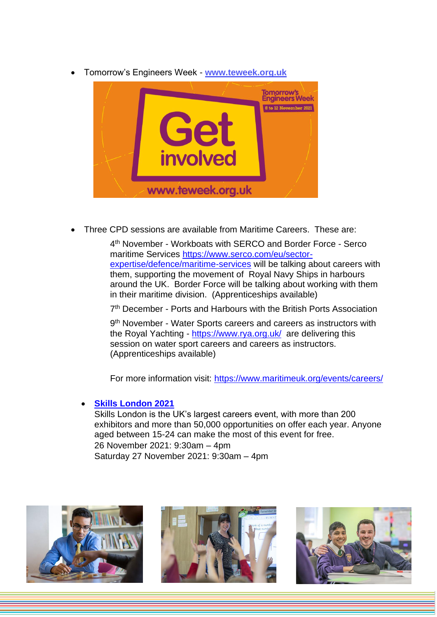• Tomorrow's Engineers Week - **[www.teweek.org.uk](http://www.teweek.org.uk/)**



• Three CPD sessions are available from Maritime Careers. These are:

4 th November - Workboats with SERCO and Border Force - Serco maritime Services [https://www.serco.com/eu/sector](https://protect-eu.mimecast.com/s/DS7kCnxp4C7J3BXH9vylc?domain=serco.com)[expertise/defence/maritime-services](https://protect-eu.mimecast.com/s/DS7kCnxp4C7J3BXH9vylc?domain=serco.com) will be talking about careers with them, supporting the movement of Royal Navy Ships in harbours around the UK. Border Force will be talking about working with them in their maritime division. (Apprenticeships available)

7<sup>th</sup> December - Ports and Harbours with the British Ports Association

9<sup>th</sup> November - Water Sports careers and careers as instructors with the Royal Yachting - <https://www.rya.org.uk/> are delivering this session on water sport careers and careers as instructors. (Apprenticeships available)

For more information visit: [https://www.maritimeuk.org/events/careers/](https://protect-eu.mimecast.com/s/pYnLC1W8AiMR0lBSL0D1l?domain=maritimeuk.org/)

#### • **[Skills London 2021](https://prospectsevents.co.uk/our-events/skills-london/skills-london-2021-2/?cli_action=1614675923.607)**

Skills London is the UK's largest careers event, with more than 200 exhibitors and more than 50,000 opportunities on offer each year. Anyone aged between 15-24 can make the most of this event for free. 26 November 2021: 9:30am – 4pm Saturday 27 November 2021: 9:30am – 4pm